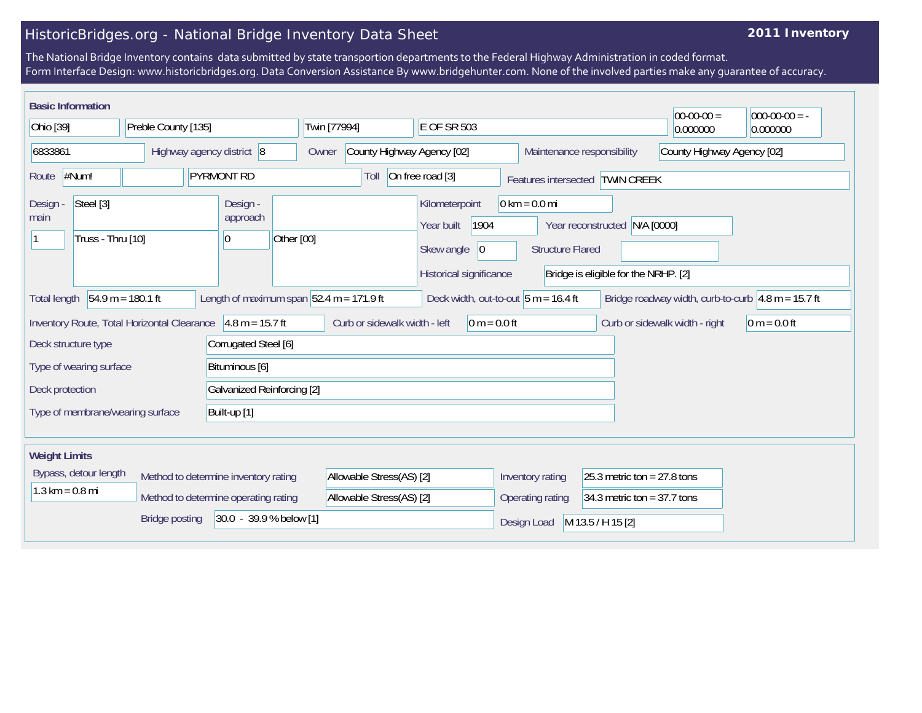## HistoricBridges.org - National Bridge Inventory Data Sheet

## **2011 Inventory**

The National Bridge Inventory contains data submitted by state transportion departments to the Federal Highway Administration in coded format. Form Interface Design: www.historicbridges.org. Data Conversion Assistance By www.bridgehunter.com. None of the involved parties make any guarantee of accuracy.

|                                                                                                                 | <b>Basic Information</b> |                       |                            |                                      |                                                 |                                                                                              |                                                            |                                                                       |                                 | $ 00-00-00 $                                                          | $ 000-00-00 $ = - |
|-----------------------------------------------------------------------------------------------------------------|--------------------------|-----------------------|----------------------------|--------------------------------------|-------------------------------------------------|----------------------------------------------------------------------------------------------|------------------------------------------------------------|-----------------------------------------------------------------------|---------------------------------|-----------------------------------------------------------------------|-------------------|
| Ohio [39]                                                                                                       |                          | Preble County [135]   |                            | Twin [77994]                         |                                                 | E OF SR 503                                                                                  |                                                            |                                                                       |                                 | 0.000000                                                              |                   |
| 6833861                                                                                                         |                          |                       |                            | Highway agency district 8            | Owner                                           | County Highway Agency [02]                                                                   |                                                            |                                                                       | Maintenance responsibility      | County Highway Agency [02]                                            |                   |
| Route                                                                                                           | #Num!                    |                       |                            | <b>PYRMONT RD</b>                    |                                                 | Toll                                                                                         | On free road [3]                                           |                                                                       | Features intersected TWIN CREEK |                                                                       |                   |
| Steel [3]<br>Design -<br>main<br>Truss - Thru [10]                                                              |                          |                       | Design -<br>approach<br>10 | Other [00]                           |                                                 | Kilometerpoint<br>1904<br>Year built<br>Skew angle<br>$ 0\rangle$<br>Historical significance | $0 \text{ km} = 0.0 \text{ mi}$<br><b>Structure Flared</b> | Year reconstructed N/A [0000]<br>Bridge is eligible for the NRHP. [2] |                                 |                                                                       |                   |
| <b>Total length</b>                                                                                             |                          | $54.9 m = 180.1 ft$   |                            |                                      | Length of maximum span $52.4$ m = 171.9 ft      |                                                                                              |                                                            | Deck width, out-to-out $5 m = 16.4 ft$                                |                                 | Bridge roadway width, curb-to-curb $ 4.8 \text{ m} = 15.7 \text{ ft}$ |                   |
| $4.8 m = 15.7 ft$<br>Inventory Route, Total Horizontal Clearance<br>Corrugated Steel [6]<br>Deck structure type |                          |                       |                            |                                      | Curb or sidewalk width - left<br>$0 m = 0.0 ft$ |                                                                                              |                                                            |                                                                       | Curb or sidewalk width - right  | $0 m = 0.0 ft$                                                        |                   |
|                                                                                                                 | Type of wearing surface  |                       |                            | Bituminous [6]                       |                                                 |                                                                                              |                                                            |                                                                       |                                 |                                                                       |                   |
| Deck protection                                                                                                 |                          |                       |                            | Galvanized Reinforcing [2]           |                                                 |                                                                                              |                                                            |                                                                       |                                 |                                                                       |                   |
| Type of membrane/wearing surface<br>Built-up [1]                                                                |                          |                       |                            |                                      |                                                 |                                                                                              |                                                            |                                                                       |                                 |                                                                       |                   |
|                                                                                                                 |                          |                       |                            |                                      |                                                 |                                                                                              |                                                            |                                                                       |                                 |                                                                       |                   |
| <b>Weight Limits</b>                                                                                            |                          |                       |                            |                                      |                                                 |                                                                                              |                                                            |                                                                       |                                 |                                                                       |                   |
|                                                                                                                 | Bypass, detour length    |                       |                            | Method to determine inventory rating |                                                 | Allowable Stress(AS) [2]                                                                     |                                                            | Inventory rating                                                      | 25.3 metric ton = $27.8$ tons   |                                                                       |                   |
| $1.3 \text{ km} = 0.8 \text{ mi}$<br>Method to determine operating rating                                       |                          |                       |                            | Allowable Stress(AS) [2]             |                                                 | 34.3 metric ton = $37.7$ tons<br>Operating rating                                            |                                                            |                                                                       |                                 |                                                                       |                   |
|                                                                                                                 |                          | <b>Bridge posting</b> |                            | 30.0 - 39.9 % below [1]              |                                                 |                                                                                              |                                                            | Design Load                                                           | M 13.5 / H 15 [2]               |                                                                       |                   |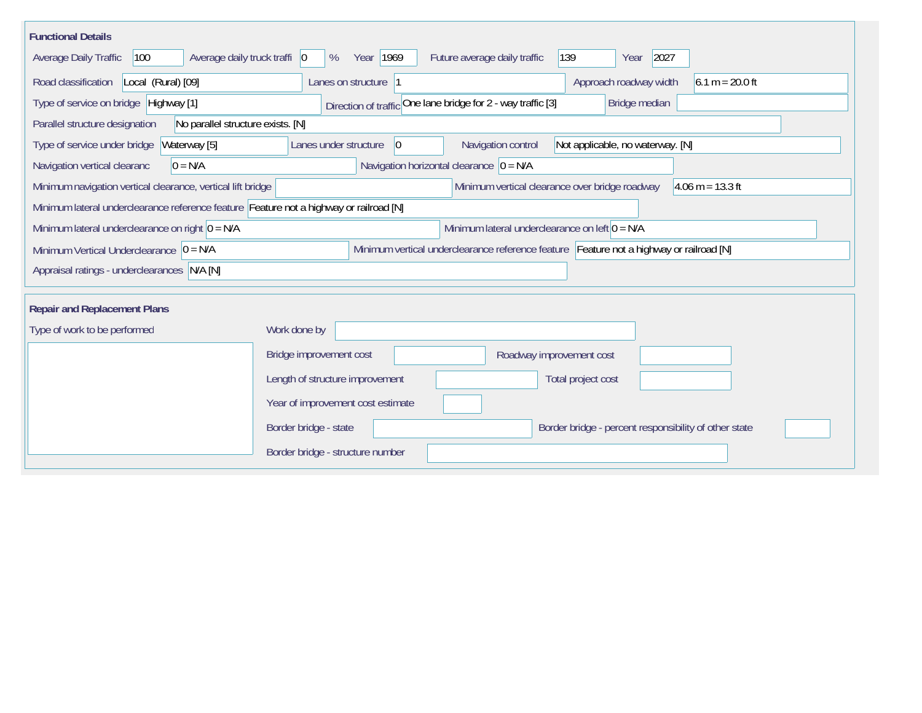| <b>Functional Details</b>                                                              |                                                                                         |
|----------------------------------------------------------------------------------------|-----------------------------------------------------------------------------------------|
| 100<br>Average daily truck traffi   0<br>Average Daily Traffic                         | Year 1969<br>Future average daily traffic<br>139<br>2027<br>%<br>Year                   |
| Road classification<br>Local (Rural) [09]                                              | Approach roadway width<br>$6.1 m = 20.0 ft$<br>Lanes on structure  1                    |
| Type of service on bridge Highway [1]                                                  | Direction of traffic One lane bridge for 2 - way traffic [3]<br>Bridge median           |
| Parallel structure designation<br>No parallel structure exists. [N]                    |                                                                                         |
| Type of service under bridge<br>Waterway [5]                                           | 0 <br>Navigation control<br>Not applicable, no waterway. [N]<br>Lanes under structure   |
| $0 = N/A$<br>Navigation vertical clearanc                                              | Navigation horizontal clearance $ 0 = N/A $                                             |
| Minimum navigation vertical clearance, vertical lift bridge                            | Minimum vertical clearance over bridge roadway<br>$4.06 \text{ m} = 13.3 \text{ ft}$    |
| Minimum lateral underclearance reference feature Feature not a highway or railroad [N] |                                                                                         |
| Minimum lateral underclearance on right $0 = N/A$                                      | Minimum lateral underclearance on left $0 = N/A$                                        |
| Minimum Vertical Underclearance $ 0 = N/A$                                             | Minimum vertical underclearance reference feature Feature not a highway or railroad [N] |
| Appraisal ratings - underclearances N/A [N]                                            |                                                                                         |
|                                                                                        |                                                                                         |
| <b>Repair and Replacement Plans</b>                                                    |                                                                                         |
| Type of work to be performed                                                           | Work done by                                                                            |
|                                                                                        | Bridge improvement cost<br>Roadway improvement cost                                     |
|                                                                                        | Length of structure improvement<br>Total project cost                                   |
|                                                                                        | Year of improvement cost estimate                                                       |
|                                                                                        | Border bridge - state<br>Border bridge - percent responsibility of other state          |
|                                                                                        | Border bridge - structure number                                                        |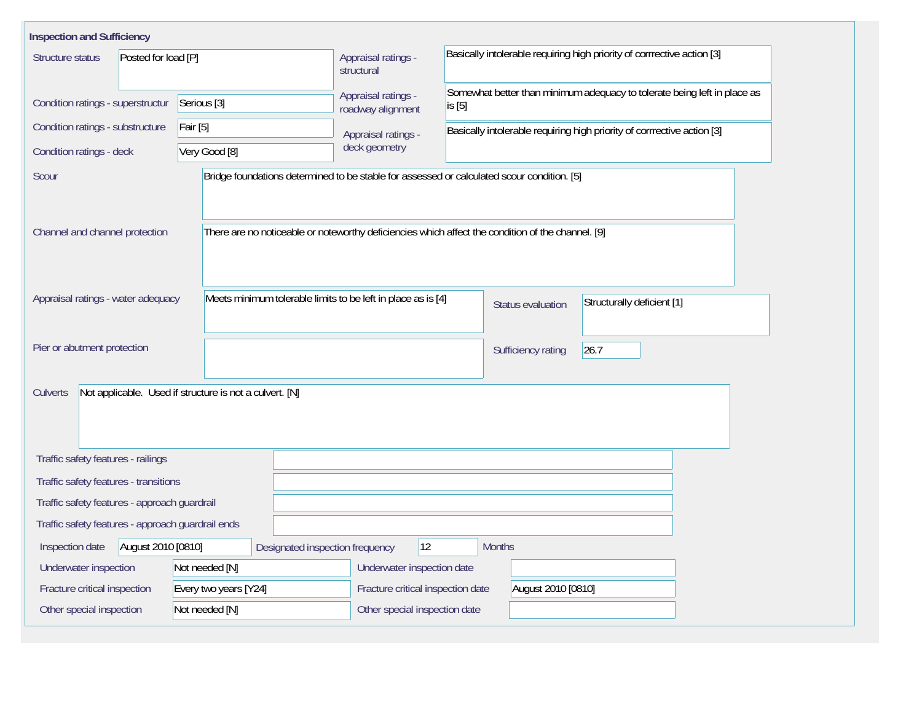| <b>Inspection and Sufficiency</b>                 |                                                                                                   |                                          |                                                                         |                                                                          |                            |  |  |  |  |
|---------------------------------------------------|---------------------------------------------------------------------------------------------------|------------------------------------------|-------------------------------------------------------------------------|--------------------------------------------------------------------------|----------------------------|--|--|--|--|
| Posted for load [P]<br>Structure status           | Appraisal ratings -<br>structural                                                                 |                                          | Basically intolerable requiring high priority of corrrective action [3] |                                                                          |                            |  |  |  |  |
| Condition ratings - superstructur                 | Serious <sup>[3]</sup>                                                                            | Appraisal ratings -<br>roadway alignment | is [5]                                                                  | Somewhat better than minimum adequacy to tolerate being left in place as |                            |  |  |  |  |
| Condition ratings - substructure                  | <b>Fair</b> [5]                                                                                   | Appraisal ratings -                      |                                                                         | Basically intolerable requiring high priority of corrrective action [3]  |                            |  |  |  |  |
| Condition ratings - deck                          | Very Good [8]                                                                                     | deck geometry                            |                                                                         |                                                                          |                            |  |  |  |  |
| Scour                                             | Bridge foundations determined to be stable for assessed or calculated scour condition. [5]        |                                          |                                                                         |                                                                          |                            |  |  |  |  |
| Channel and channel protection                    | There are no noticeable or noteworthy deficiencies which affect the condition of the channel. [9] |                                          |                                                                         |                                                                          |                            |  |  |  |  |
| Appraisal ratings - water adequacy                | Meets minimum tolerable limits to be left in place as is [4]                                      |                                          |                                                                         | Status evaluation                                                        | Structurally deficient [1] |  |  |  |  |
| Pier or abutment protection                       |                                                                                                   |                                          |                                                                         | Sufficiency rating                                                       | 26.7                       |  |  |  |  |
| <b>Culverts</b>                                   | Not applicable. Used if structure is not a culvert. [N]                                           |                                          |                                                                         |                                                                          |                            |  |  |  |  |
| Traffic safety features - railings                |                                                                                                   |                                          |                                                                         |                                                                          |                            |  |  |  |  |
| Traffic safety features - transitions             |                                                                                                   |                                          |                                                                         |                                                                          |                            |  |  |  |  |
| Traffic safety features - approach guardrail      |                                                                                                   |                                          |                                                                         |                                                                          |                            |  |  |  |  |
| Traffic safety features - approach guardrail ends |                                                                                                   |                                          |                                                                         |                                                                          |                            |  |  |  |  |
| August 2010 [0810]<br>Inspection date             | Designated inspection frequency                                                                   | 12                                       | <b>Months</b>                                                           |                                                                          |                            |  |  |  |  |
| Not needed [N]<br>Underwater inspection           | Underwater inspection date                                                                        |                                          |                                                                         |                                                                          |                            |  |  |  |  |
| Fracture critical inspection                      | Every two years [Y24]                                                                             | Fracture critical inspection date        |                                                                         | August 2010 [0810]                                                       |                            |  |  |  |  |
| Other special inspection                          | Not needed [N]                                                                                    | Other special inspection date            |                                                                         |                                                                          |                            |  |  |  |  |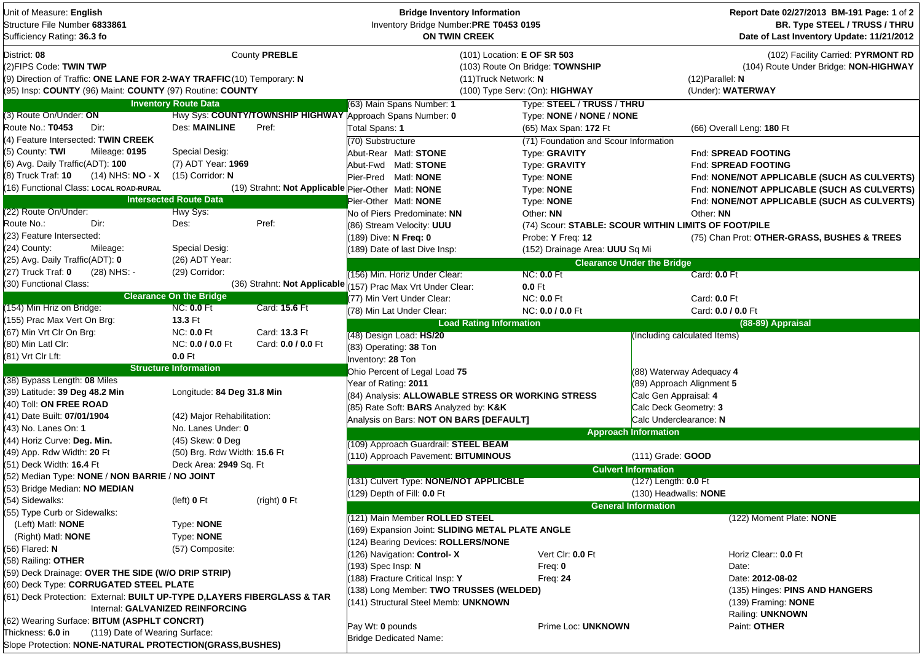| Unit of Measure: English<br>Structure File Number 6833861<br>Sufficiency Rating: 36.3 fo                                                                                       |                                       |                                     | <b>Bridge Inventory Information</b><br>Inventory Bridge Number:PRE T0453 0195<br><b>ON TWIN CREEK</b> |                                                                                                  |                                   | Report Date 02/27/2013 BM-191 Page: 1 of 2<br>BR. Type STEEL / TRUSS / THRU<br>Date of Last Inventory Update: 11/21/2012 |
|--------------------------------------------------------------------------------------------------------------------------------------------------------------------------------|---------------------------------------|-------------------------------------|-------------------------------------------------------------------------------------------------------|--------------------------------------------------------------------------------------------------|-----------------------------------|--------------------------------------------------------------------------------------------------------------------------|
| District: 08<br>(2) FIPS Code: TWIN TWP<br>(9) Direction of Traffic: ONE LANE FOR 2-WAY TRAFFIC (10) Temporary: N<br>(95) Insp: COUNTY (96) Maint: COUNTY (97) Routine: COUNTY |                                       | County PREBLE                       | (11) Truck Network: N                                                                                 | (101) Location: E OF SR 503<br>(103) Route On Bridge: TOWNSHIP<br>(100) Type Serv: (On): HIGHWAY |                                   | (102) Facility Carried: PYRMONT RD<br>(104) Route Under Bridge: NON-HIGHWAY<br>$(12)$ Parallel: N<br>(Under): WATERWAY   |
|                                                                                                                                                                                | <b>Inventory Route Data</b>           |                                     | (63) Main Spans Number: 1                                                                             | Type: STEEL / TRUSS / THRU                                                                       |                                   |                                                                                                                          |
| (3) Route On/Under: ON                                                                                                                                                         |                                       |                                     | Hwy Sys: COUNTY/TOWNSHIP HIGHWAY Approach Spans Number: 0                                             | Type: NONE / NONE / NONE                                                                         |                                   |                                                                                                                          |
| Route No.: T0453<br>Dir:                                                                                                                                                       | <b>Des: MAINLINE</b>                  | Pref:                               | Total Spans: 1                                                                                        | (65) Max Span: 172 Ft                                                                            |                                   | (66) Overall Leng: 180 Ft                                                                                                |
| (4) Feature Intersected: TWIN CREEK                                                                                                                                            |                                       |                                     | (70) Substructure                                                                                     | (71) Foundation and Scour Information                                                            |                                   |                                                                                                                          |
| (5) County: TWI<br>Mileage: 0195                                                                                                                                               | Special Desig:                        |                                     | Abut-Rear Matl: STONE                                                                                 | Type: GRAVITY                                                                                    |                                   | Fnd: SPREAD FOOTING                                                                                                      |
| (6) Avg. Daily Traffic(ADT): 100                                                                                                                                               | (7) ADT Year: 1969                    |                                     | Abut-Fwd Matl: STONE                                                                                  | Type: GRAVITY                                                                                    |                                   | Fnd: SPREAD FOOTING                                                                                                      |
| (8) Truck Traf: 10<br>(14) NHS: <b>NO</b> - <b>X</b>                                                                                                                           | (15) Corridor: N                      |                                     | Pier-Pred Matl: NONE                                                                                  | Type: NONE                                                                                       |                                   | Fnd: NONE/NOT APPLICABLE (SUCH AS CULVERTS)                                                                              |
| (16) Functional Class: LOCAL ROAD-RURAL                                                                                                                                        |                                       |                                     | (19) Strahnt: Not Applicable Pier-Other Matl: NONE                                                    | Type: NONE                                                                                       |                                   | Fnd: NONE/NOT APPLICABLE (SUCH AS CULVERTS)                                                                              |
|                                                                                                                                                                                | <b>Intersected Route Data</b>         |                                     | Pier-Other Matl: NONE                                                                                 | Type: NONE                                                                                       |                                   | Fnd: NONE/NOT APPLICABLE (SUCH AS CULVERTS)                                                                              |
| (22) Route On/Under:                                                                                                                                                           | Hwy Sys:                              |                                     | No of Piers Predominate: NN                                                                           | Other: NN                                                                                        |                                   | Other: NN                                                                                                                |
| Route No.:<br>Dir:                                                                                                                                                             | Des:                                  | Pref:                               | (86) Stream Velocity: UUU                                                                             | (74) Scour: STABLE: SCOUR WITHIN LIMITS OF FOOT/PILE                                             |                                   |                                                                                                                          |
| (23) Feature Intersected:                                                                                                                                                      |                                       |                                     | (189) Dive: N Freq: 0                                                                                 | Probe: Y Freq: 12                                                                                |                                   | (75) Chan Prot: OTHER-GRASS, BUSHES & TREES                                                                              |
| (24) County:<br>Mileage:                                                                                                                                                       | Special Desig:                        |                                     | (189) Date of last Dive Insp:                                                                         | (152) Drainage Area: UUU Sq Mi                                                                   |                                   |                                                                                                                          |
| (25) Avg. Daily Traffic(ADT): 0                                                                                                                                                | (26) ADT Year:                        |                                     |                                                                                                       |                                                                                                  | <b>Clearance Under the Bridge</b> |                                                                                                                          |
| (27) Truck Traf: 0<br>(28) NHS: -                                                                                                                                              | (29) Corridor:                        |                                     | (156) Min. Horiz Under Clear:                                                                         | <b>NC: 0.0 Ft</b>                                                                                |                                   | Card: 0.0 Ft                                                                                                             |
| (30) Functional Class:                                                                                                                                                         |                                       | (36) Strahnt: Not Applicable        | 157) Prac Max Vrt Under Clear:                                                                        | $0.0$ Ft                                                                                         |                                   |                                                                                                                          |
|                                                                                                                                                                                | <b>Clearance On the Bridge</b>        |                                     | (77) Min Vert Under Clear:                                                                            | <b>NC: 0.0 Ft</b>                                                                                |                                   | Card: 0.0 Ft                                                                                                             |
| (154) Min Hriz on Bridge:                                                                                                                                                      | <b>NC: 0.0 Ft</b>                     | Card: 15.6 Ft                       | (78) Min Lat Under Clear:                                                                             | NC: 0.0 / 0.0 Ft                                                                                 |                                   | Card: 0.0 / 0.0 Ft                                                                                                       |
| (155) Prac Max Vert On Brg:                                                                                                                                                    | <b>13.3 Ft</b>                        |                                     | <b>Load Rating Information</b>                                                                        |                                                                                                  |                                   | (88-89) Appraisal                                                                                                        |
| (67) Min Vrt Clr On Brg:<br>(80) Min Latl Clr:                                                                                                                                 | <b>NC: 0.0 Ft</b><br>NC: 0.0 / 0.0 Ft | Card: 13.3 Ft<br>Card: 0.0 / 0.0 Ft | (48) Design Load: HS/20                                                                               |                                                                                                  | (Including calculated Items)      |                                                                                                                          |
| (81) Vrt Clr Lft:                                                                                                                                                              | 0.0 Ft                                |                                     | (83) Operating: 38 Ton                                                                                |                                                                                                  |                                   |                                                                                                                          |
|                                                                                                                                                                                | <b>Structure Information</b>          |                                     | Inventory: 28 Ton                                                                                     |                                                                                                  |                                   |                                                                                                                          |
| (38) Bypass Length: 08 Miles                                                                                                                                                   |                                       |                                     | Ohio Percent of Legal Load 75                                                                         |                                                                                                  | (88) Waterway Adequacy 4          |                                                                                                                          |
| (39) Latitude: 39 Deg 48.2 Min                                                                                                                                                 | Longitude: 84 Deg 31.8 Min            |                                     | Year of Rating: 2011                                                                                  |                                                                                                  | (89) Approach Alignment 5         |                                                                                                                          |
| (40) Toll: ON FREE ROAD                                                                                                                                                        |                                       |                                     | (84) Analysis: ALLOWABLE STRESS OR WORKING STRESS                                                     |                                                                                                  | Calc Gen Appraisal: 4             |                                                                                                                          |
| (41) Date Built: 07/01/1904                                                                                                                                                    | (42) Major Rehabilitation:            |                                     | (85) Rate Soft: BARS Analyzed by: K&K                                                                 |                                                                                                  | Calc Deck Geometry: 3             |                                                                                                                          |
| (43) No. Lanes On: 1                                                                                                                                                           | No. Lanes Under: 0                    |                                     | Analysis on Bars: NOT ON BARS [DEFAULT]                                                               |                                                                                                  | Calc Underclearance: N            |                                                                                                                          |
| (44) Horiz Curve: Deg. Min.                                                                                                                                                    | (45) Skew: 0 Deg                      |                                     |                                                                                                       |                                                                                                  | <b>Approach Information</b>       |                                                                                                                          |
| (49) App. Rdw Width: 20 Ft                                                                                                                                                     | (50) Brg. Rdw Width: 15.6 Ft          |                                     | (109) Approach Guardrail: STEEL BEAM                                                                  |                                                                                                  |                                   |                                                                                                                          |
| (51) Deck Width: 16.4 Ft                                                                                                                                                       | Deck Area: 2949 Sq. Ft                |                                     | (110) Approach Pavement: BITUMINOUS                                                                   |                                                                                                  | (111) Grade: GOOD                 |                                                                                                                          |
| (52) Median Type: NONE / NON BARRIE / NO JOINT                                                                                                                                 |                                       |                                     |                                                                                                       |                                                                                                  | <b>Culvert Information</b>        |                                                                                                                          |
| (53) Bridge Median: NO MEDIAN                                                                                                                                                  |                                       |                                     | (131) Culvert Type: NONE/NOT APPLICBLE                                                                |                                                                                                  | $(127)$ Length: <b>0.0</b> Ft     |                                                                                                                          |
| (54) Sidewalks:                                                                                                                                                                | (left) 0 Ft                           | (right) 0 Ft                        | (129) Depth of Fill: 0.0 Ft                                                                           |                                                                                                  | (130) Headwalls: NONE             |                                                                                                                          |
| (55) Type Curb or Sidewalks:                                                                                                                                                   |                                       |                                     |                                                                                                       |                                                                                                  | <b>General Information</b>        |                                                                                                                          |
| (Left) Matl: <b>NONE</b>                                                                                                                                                       | Type: NONE                            |                                     | (121) Main Member ROLLED STEEL                                                                        |                                                                                                  |                                   | (122) Moment Plate: NONE                                                                                                 |
| (Right) Matl: <b>NONE</b>                                                                                                                                                      | Type: NONE                            |                                     | (169) Expansion Joint: SLIDING METAL PLATE ANGLE                                                      |                                                                                                  |                                   |                                                                                                                          |
| (56) Flared: N                                                                                                                                                                 | (57) Composite:                       |                                     | (124) Bearing Devices: ROLLERS/NONE                                                                   |                                                                                                  |                                   |                                                                                                                          |
| (58) Railing: OTHER                                                                                                                                                            |                                       |                                     | (126) Navigation: Control-X                                                                           | Vert Cir: 0.0 Ft                                                                                 |                                   | Horiz Clear:: 0.0 Ft                                                                                                     |
| (59) Deck Drainage: OVER THE SIDE (W/O DRIP STRIP)                                                                                                                             |                                       |                                     | (193) Spec Insp: N                                                                                    | Freq: $0$                                                                                        |                                   | Date:                                                                                                                    |
| (60) Deck Type: CORRUGATED STEEL PLATE                                                                                                                                         |                                       |                                     | 188) Fracture Critical Insp: Y                                                                        | Freq: $24$                                                                                       |                                   | Date: 2012-08-02<br>(135) Hinges: PINS AND HANGERS                                                                       |
| (61) Deck Protection: External: BUILT UP-TYPE D,LAYERS FIBERGLASS & TAR                                                                                                        |                                       |                                     | (138) Long Member: TWO TRUSSES (WELDED)<br>(141) Structural Steel Memb: UNKNOWN                       |                                                                                                  |                                   |                                                                                                                          |
|                                                                                                                                                                                | Internal: GALVANIZED REINFORCING      |                                     |                                                                                                       |                                                                                                  |                                   | (139) Framing: <b>NONE</b><br>Railing: UNKNOWN                                                                           |
| (62) Wearing Surface: BITUM (ASPHLT CONCRT)                                                                                                                                    |                                       |                                     | Pay Wt: 0 pounds                                                                                      | Prime Loc: UNKNOWN                                                                               |                                   | Paint: OTHER                                                                                                             |
| Thickness: 6.0 in<br>(119) Date of Wearing Surface:                                                                                                                            |                                       |                                     | <b>Bridge Dedicated Name:</b>                                                                         |                                                                                                  |                                   |                                                                                                                          |
| Slope Protection: NONE-NATURAL PROTECTION(GRASS, BUSHES)                                                                                                                       |                                       |                                     |                                                                                                       |                                                                                                  |                                   |                                                                                                                          |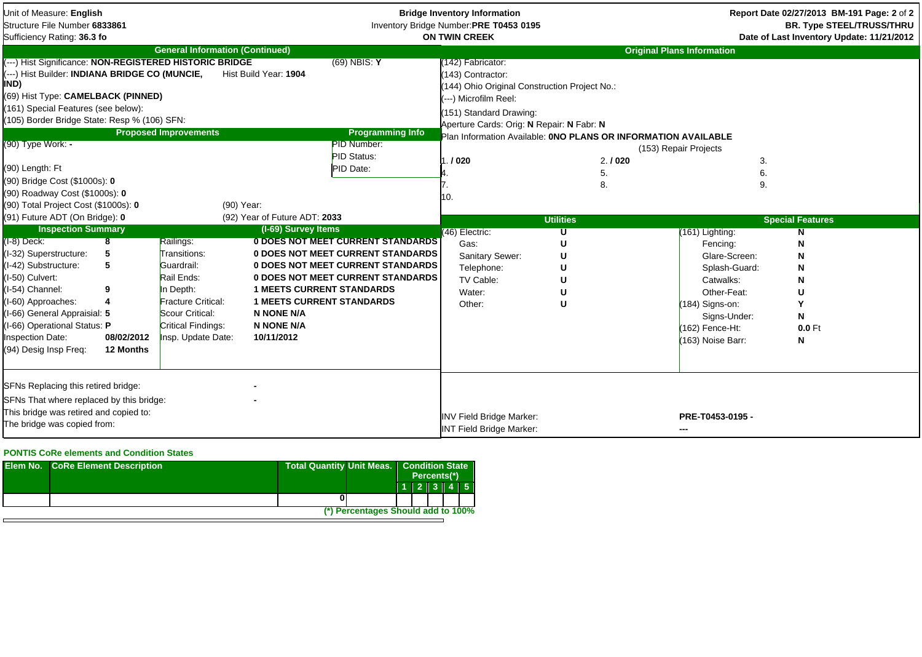| Unit of Measure: English<br>Structure File Number 6833861<br>Sufficiency Rating: 36.3 fo                                                                                                                                                                                                                                                                  |                                        |                                                                                                                                                        |                                                                                                                              |                                                                                                                                                                              | <b>Bridge Inventory Information</b><br>Inventory Bridge Number:PRE T0453 0195<br><b>ON TWIN CREEK</b>                                                                                            |                       |                                                                                                                                                   | Report Date 02/27/2013 BM-191 Page: 2 of 2<br><b>BR. Type STEEL/TRUSS/THRU</b><br>Date of Last Inventory Update: 11/21/2012 |  |  |
|-----------------------------------------------------------------------------------------------------------------------------------------------------------------------------------------------------------------------------------------------------------------------------------------------------------------------------------------------------------|----------------------------------------|--------------------------------------------------------------------------------------------------------------------------------------------------------|------------------------------------------------------------------------------------------------------------------------------|------------------------------------------------------------------------------------------------------------------------------------------------------------------------------|--------------------------------------------------------------------------------------------------------------------------------------------------------------------------------------------------|-----------------------|---------------------------------------------------------------------------------------------------------------------------------------------------|-----------------------------------------------------------------------------------------------------------------------------|--|--|
|                                                                                                                                                                                                                                                                                                                                                           |                                        | <b>General Information (Continued)</b>                                                                                                                 |                                                                                                                              |                                                                                                                                                                              |                                                                                                                                                                                                  |                       | <b>Original Plans Information</b>                                                                                                                 |                                                                                                                             |  |  |
| (---) Hist Significance: NON-REGISTERED HISTORIC BRIDGE<br>(---) Hist Builder: INDIANA BRIDGE CO (MUNCIE,<br>IND)<br>(69) Hist Type: CAMELBACK (PINNED)<br>(161) Special Features (see below):<br>(105) Border Bridge State: Resp % (106) SFN:<br>(90) Type Work: -<br>(90) Length: Ft<br>(90) Bridge Cost (\$1000s): 0<br>(90) Roadway Cost (\$1000s): 0 |                                        | <b>Proposed Improvements</b>                                                                                                                           | Hist Build Year: 1904                                                                                                        | $(69)$ NBIS: Y<br><b>Programming Info</b><br><b>PID Number:</b><br><b>PID Status:</b><br>PID Date:                                                                           | (142) Fabricator:<br>(143) Contractor:<br>(144) Ohio Original Construction Project No.:<br>---) Microfilm Reel:<br>(151) Standard Drawing:<br>Aperture Cards: Orig: N Repair: N Fabr: N<br>./020 | 2.1020<br>5.<br>8.    | Plan Information Available: ONO PLANS OR INFORMATION AVAILABLE<br>(153) Repair Projects<br>3.<br>6.<br>9.                                         |                                                                                                                             |  |  |
| (90) Total Project Cost (\$1000s): 0                                                                                                                                                                                                                                                                                                                      |                                        | (90) Year:                                                                                                                                             |                                                                                                                              |                                                                                                                                                                              |                                                                                                                                                                                                  |                       |                                                                                                                                                   |                                                                                                                             |  |  |
| (91) Future ADT (On Bridge): 0                                                                                                                                                                                                                                                                                                                            |                                        |                                                                                                                                                        | (92) Year of Future ADT: 2033                                                                                                |                                                                                                                                                                              |                                                                                                                                                                                                  | <b>Utilities</b>      |                                                                                                                                                   | <b>Special Features</b>                                                                                                     |  |  |
| <b>Inspection Summary</b>                                                                                                                                                                                                                                                                                                                                 |                                        |                                                                                                                                                        | (I-69) Survey Items                                                                                                          |                                                                                                                                                                              | $(46)$ Electric:                                                                                                                                                                                 | U                     | (161) Lighting:                                                                                                                                   |                                                                                                                             |  |  |
| $(I-8)$ Deck:<br>(I-32) Superstructure:<br>I-42) Substructure:<br>I-50) Culvert:<br>I-54) Channel:<br>I-60) Approaches:<br>I-66) General Appraisial: 5<br>(I-66) Operational Status: P<br><b>Inspection Date:</b><br>(94) Desig Insp Freg:                                                                                                                | 5<br>5<br>9<br>08/02/2012<br>12 Months | Railings:<br>Transitions:<br>Guardrail:<br>Rail Ends:<br>n Depth:<br>Fracture Critical:<br>Scour Critical:<br>Critical Findings:<br>Insp. Update Date: | <b>1 MEETS CURRENT STANDARDS</b><br><b>1 MEETS CURRENT STANDARDS</b><br><b>N NONE N/A</b><br><b>N NONE N/A</b><br>10/11/2012 | <b>0 DOES NOT MEET CURRENT STANDARDS</b><br><b>0 DOES NOT MEET CURRENT STANDARDS</b><br><b>0 DOES NOT MEET CURRENT STANDARDS</b><br><b>0 DOES NOT MEET CURRENT STANDARDS</b> | Gas:<br>Sanitary Sewer:<br>Telephone:<br>TV Cable:<br>Water:<br>Other:                                                                                                                           | U<br>U<br>U<br>U<br>U | Fencing:<br>Glare-Screen:<br>Splash-Guard:<br>Catwalks:<br>Other-Feat:<br>(184) Signs-on:<br>Signs-Under:<br>(162) Fence-Ht:<br>(163) Noise Barr: | N<br>N<br>N<br>$0.0$ Ft<br>N                                                                                                |  |  |
| SFNs Replacing this retired bridge:<br>SFNs That where replaced by this bridge:<br>This bridge was retired and copied to:<br>The bridge was copied from:                                                                                                                                                                                                  |                                        |                                                                                                                                                        |                                                                                                                              |                                                                                                                                                                              | <b>INV Field Bridge Marker:</b><br><b>INT Field Bridge Marker:</b>                                                                                                                               |                       | PRE-T0453-0195 -                                                                                                                                  |                                                                                                                             |  |  |

## **PONTIS CoRe elements and Condition States**

| <b>Elem No. CoRe Element Description</b> |                                    | Total Quantity Unit Meas.   Condition State<br>Percents(*) |  |  |  |          |
|------------------------------------------|------------------------------------|------------------------------------------------------------|--|--|--|----------|
|                                          |                                    |                                                            |  |  |  | 11213145 |
|                                          |                                    |                                                            |  |  |  |          |
|                                          | (*) Percentages Should add to 100% |                                                            |  |  |  |          |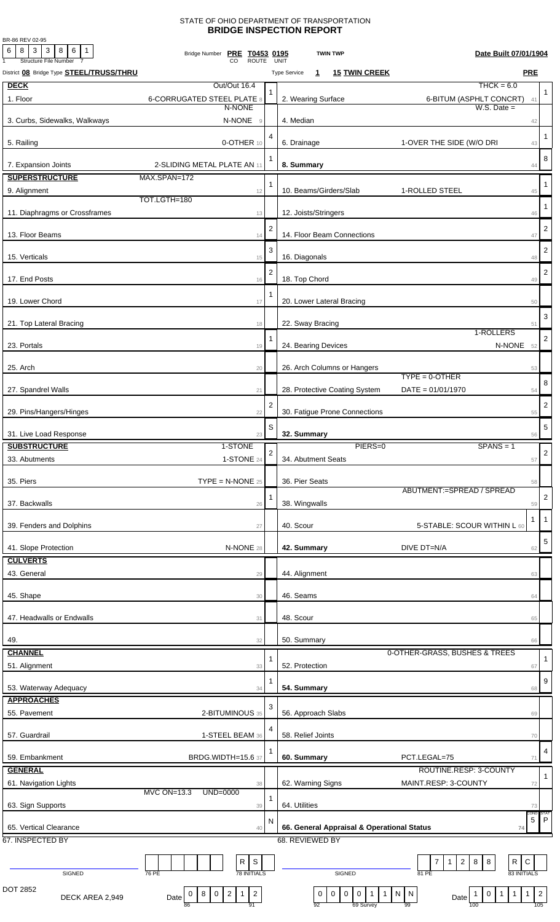## STATE OF OHIO DEPARTMENT OF TRANSPORTATION **BRIDGE INSPECTION REPORT**

BR-86 REV 02-95

| 6<br>  8   3   3   8   6   1<br><b>Structure File Number</b> | Bridge Number PRE T0453 0195<br><b>ROUTE</b>                                           |                | Date Built 07/01/1904<br><b>TWIN TWP</b><br>UNIT                                                                                                                                 |                         |
|--------------------------------------------------------------|----------------------------------------------------------------------------------------|----------------|----------------------------------------------------------------------------------------------------------------------------------------------------------------------------------|-------------------------|
| District 08 Bridge Type STEEL/TRUSS/THRU                     |                                                                                        |                | <b>PRE</b><br><b>15 TWIN CREEK</b><br><b>Type Service</b><br>$\mathbf{1}$                                                                                                        |                         |
| <b>DECK</b>                                                  | Out/Out 16.4                                                                           |                | $THCK = 6.0$                                                                                                                                                                     |                         |
| 1. Floor                                                     | <b>6-CORRUGATED STEEL PLATE 8</b>                                                      |                | 2. Wearing Surface<br>6-BITUM (ASPHLT CONCRT) 41                                                                                                                                 | 1                       |
|                                                              | N-NONE                                                                                 |                | $W.S.$ Date $=$                                                                                                                                                                  |                         |
| 3. Curbs, Sidewalks, Walkways                                | N-NONE<br>$\overline{9}$                                                               |                | 4. Median<br>42                                                                                                                                                                  |                         |
| 5. Railing                                                   | 0-OTHER 10                                                                             | 4              | 6. Drainage<br>1-OVER THE SIDE (W/O DRI<br>43                                                                                                                                    | $\mathbf{1}$            |
|                                                              |                                                                                        |                |                                                                                                                                                                                  |                         |
| 7. Expansion Joints                                          | 2-SLIDING METAL PLATE AN 11                                                            |                | 8. Summary<br>44                                                                                                                                                                 | 8                       |
| <b>SUPERSTRUCTURE</b>                                        | MAX.SPAN=172                                                                           |                |                                                                                                                                                                                  |                         |
| 9. Alignment                                                 | 12                                                                                     | 1              | 10. Beams/Girders/Slab<br>1-ROLLED STEEL<br>45                                                                                                                                   | $\mathbf{1}$            |
|                                                              | TOT.LGTH=180                                                                           |                |                                                                                                                                                                                  | $\mathbf{1}$            |
| 11. Diaphragms or Crossframes                                | 13                                                                                     |                | 12. Joists/Stringers<br>46                                                                                                                                                       |                         |
|                                                              |                                                                                        | $\overline{2}$ |                                                                                                                                                                                  | $\overline{2}$          |
| 13. Floor Beams                                              | 14                                                                                     |                | 14. Floor Beam Connections<br>47                                                                                                                                                 |                         |
| 15. Verticals                                                | 15                                                                                     | 3              | 16. Diagonals<br>48                                                                                                                                                              | $\overline{2}$          |
|                                                              |                                                                                        | $\overline{2}$ |                                                                                                                                                                                  | $\overline{2}$          |
| 17. End Posts                                                | 16                                                                                     |                | 18. Top Chord<br>49                                                                                                                                                              |                         |
|                                                              |                                                                                        | 1              |                                                                                                                                                                                  |                         |
| 19. Lower Chord                                              | 17                                                                                     |                | 20. Lower Lateral Bracing<br>50                                                                                                                                                  |                         |
| 21. Top Lateral Bracing                                      | 18                                                                                     |                | 22. Sway Bracing<br>51                                                                                                                                                           | 3                       |
|                                                              |                                                                                        |                | 1-ROLLERS                                                                                                                                                                        |                         |
| 23. Portals                                                  | 19                                                                                     | 1              | N-NONE 52<br>24. Bearing Devices                                                                                                                                                 | $\overline{2}$          |
|                                                              |                                                                                        |                |                                                                                                                                                                                  |                         |
| 25. Arch                                                     | 20                                                                                     |                | 26. Arch Columns or Hangers<br>53<br>$TYPE = 0$ -OTHER                                                                                                                           |                         |
| 27. Spandrel Walls                                           | 21                                                                                     |                | 28. Protective Coating System<br>$DATE = 01/01/1970$                                                                                                                             | 8                       |
|                                                              |                                                                                        |                | 54                                                                                                                                                                               |                         |
| 29. Pins/Hangers/Hinges                                      | 22                                                                                     | $\overline{2}$ | 30. Fatigue Prone Connections<br>55                                                                                                                                              | $\overline{\mathbf{c}}$ |
|                                                              |                                                                                        | S              |                                                                                                                                                                                  | $\mathbf 5$             |
| 31. Live Load Response                                       | 23                                                                                     |                | 32. Summary<br>56                                                                                                                                                                |                         |
| <b>SUBSTRUCTURE</b>                                          | 1-STONE                                                                                | $\overline{2}$ | PIERS=0<br>$SPANS = 1$                                                                                                                                                           | $\sqrt{2}$              |
| 33. Abutments                                                | 1-STONE 24                                                                             |                | 34. Abutment Seats<br>57                                                                                                                                                         |                         |
|                                                              |                                                                                        |                |                                                                                                                                                                                  |                         |
| 35. Piers                                                    | $\mathsf{TYPE} = \mathsf{N}\text{-}\mathsf{NONE}$ 25                                   |                | 36. Pier Seats<br>58<br>ABUTMENT:=SPREAD / SPREAD                                                                                                                                |                         |
| 37. Backwalls                                                | 26                                                                                     |                | 38. Wingwalls<br>59                                                                                                                                                              | $\overline{2}$          |
|                                                              |                                                                                        |                | -1                                                                                                                                                                               | $\overline{1}$          |
| 39. Fenders and Dolphins                                     | 27                                                                                     |                | 40. Scour<br>5-STABLE: SCOUR WITHIN L 60                                                                                                                                         |                         |
|                                                              |                                                                                        |                |                                                                                                                                                                                  | 5                       |
| 41. Slope Protection                                         | N-NONE 28                                                                              |                | 42. Summary<br>DIVE DT=N/A<br>62                                                                                                                                                 |                         |
| <b>CULVERTS</b>                                              |                                                                                        |                |                                                                                                                                                                                  |                         |
| 43. General                                                  | 29                                                                                     |                | 44. Alignment<br>63                                                                                                                                                              |                         |
| 45. Shape                                                    | 30                                                                                     |                | 46. Seams<br>64                                                                                                                                                                  |                         |
|                                                              |                                                                                        |                |                                                                                                                                                                                  |                         |
| 47. Headwalls or Endwalls                                    | 31                                                                                     |                | 48. Scour<br>65                                                                                                                                                                  |                         |
|                                                              |                                                                                        |                |                                                                                                                                                                                  |                         |
| 49.                                                          | 32                                                                                     |                | 50. Summary<br>66                                                                                                                                                                |                         |
| <b>CHANNEL</b>                                               |                                                                                        | 1              | 0-OTHER-GRASS, BUSHES & TREES                                                                                                                                                    | 1                       |
| 51. Alignment                                                | 33                                                                                     |                | 52. Protection<br>67                                                                                                                                                             |                         |
| 53. Waterway Adequacy                                        | 34                                                                                     | 1              | 54. Summary<br>68                                                                                                                                                                | 9                       |
| <b>APPROACHES</b>                                            |                                                                                        |                |                                                                                                                                                                                  |                         |
| 55. Pavement                                                 | 2-BITUMINOUS 35                                                                        | 3              | 56. Approach Slabs<br>69                                                                                                                                                         |                         |
|                                                              |                                                                                        | 4              |                                                                                                                                                                                  |                         |
| 57. Guardrail                                                | 1-STEEL BEAM 36                                                                        |                | 58. Relief Joints<br>70                                                                                                                                                          |                         |
|                                                              |                                                                                        |                |                                                                                                                                                                                  | 4                       |
| 59. Embankment                                               | <b>BRDG.WIDTH=15.6 37</b>                                                              |                | 60. Summary<br>PCT.LEGAL=75<br>71                                                                                                                                                |                         |
| <b>GENERAL</b>                                               |                                                                                        |                | ROUTINE.RESP: 3-COUNTY                                                                                                                                                           | $\mathbf{1}$            |
| 61. Navigation Lights                                        | 38<br>MVC ON=13.3<br>UND=0000                                                          |                | 62. Warning Signs<br>MAINT.RESP: 3-COUNTY<br>72                                                                                                                                  |                         |
| 63. Sign Supports                                            | 39                                                                                     | 1              | 64. Utilities<br>73                                                                                                                                                              |                         |
|                                                              |                                                                                        |                | COND:                                                                                                                                                                            |                         |
| 65. Vertical Clearance                                       | 40                                                                                     | N              | $\,$ 5 $\,$<br>66. General Appraisal & Operational Status<br>74                                                                                                                  | $\mathsf{P}$            |
| 67. INSPECTED BY                                             |                                                                                        |                | 68. REVIEWED BY                                                                                                                                                                  |                         |
|                                                              |                                                                                        |                |                                                                                                                                                                                  |                         |
|                                                              | $\mathsf S$<br>R                                                                       |                | R<br>$\mathsf C$<br>$\overline{7}$<br>$2 \mid 8$<br>8<br>$\mathbf{1}$                                                                                                            |                         |
| SIGNED                                                       | <b>78 INITIALS</b><br>76 PE                                                            |                | 83 INITIALS<br>SIGNED<br>81 PE                                                                                                                                                   |                         |
| DOT 2852                                                     | $\overline{c}$<br>$\overline{2}$<br>$\mathbf{1}$<br>8<br>$\overline{0}$<br>$\mathbf 0$ |                | $\mathsf 0$<br>$\boldsymbol{0}$<br>$\overline{1}$<br>$\overline{2}$<br>$\mathbf 0$<br>$\mathbf 0$<br>$\overline{1}$<br>$\mathbf{1}$<br>N   N<br>$\mathbf{1}$<br>$\mathbf 0$<br>1 |                         |
| DECK AREA 2,949                                              | Date<br>86<br>91                                                                       |                | Date<br>105<br>92<br>69 Survey<br>99<br>100                                                                                                                                      |                         |